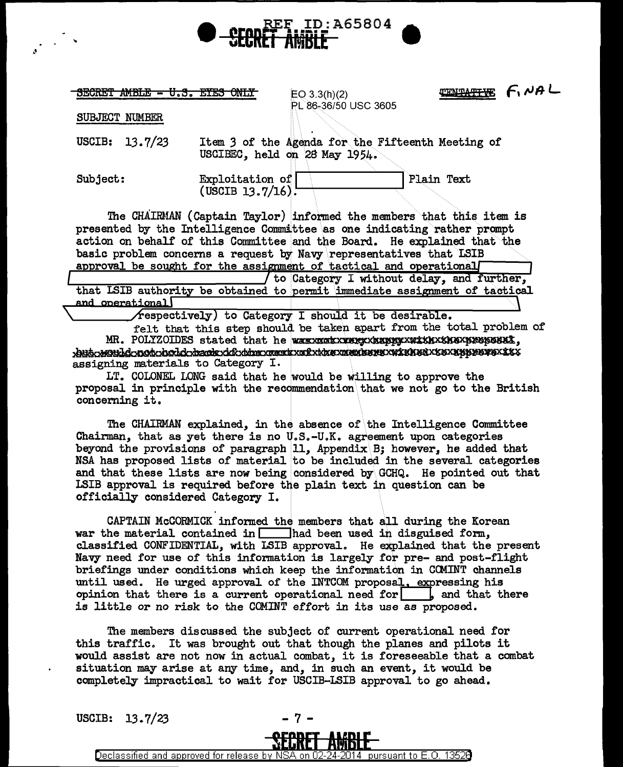

SECRET AMBLE - U.S. EYES ONLY

 $EO 3.3(h)(2)$ PL 86-36/50 USC 3605 **TENTATIVE F. NAL** 

SUBJECT NUMBER

USCIB:  $13.7/23$ Item 3 of the Agenda for the Fifteenth Meeting of USCIBEC, held on 28 May 1954.

Subject:

Plain Text Exploitation of  $($  USCIB 13.7/16):

The CHAIRMAN (Captain Taylor) informed the members that this item is presented by the Intelligence Committee as one indicating rather prompt action on behalf of this Committee and the Board. He explained that the basic problem concerns a request by Navy representatives that LSIB approval be sought for the assignment of tactical and operational

(to Category I without delay, and further, that ISIB authority be obtained to permit immediate assignment of tactical and operational

 $\sqrt{x}$  respectively) to Category I should it be desirable.

felt that this step should be taken apart from the total problem of 1944-1960 Ld-not-hold-dank rik time meer mektine meerbere in kehed x text thirst xx assigning materials to Category I.

LT. COLONEL LONG said that he would be willing to approve the proposal in principle with the recommendation that we not go to the British concerning it.

The CHAIRMAN explained, in the absence of the Intelligence Committee Chairman, that as yet there is no U.S.-U.K. agreement upon categories beyond the provisions of paragraph 11, Appendix  $B$ ; however, he added that NSA has proposed lists of material to be included in the several categories and that these lists are now being considered by GCHQ. He pointed out that LSIB approval is required before the plain text in question can be officially considered Category I.

CAPTAIN McCORMICK informed the members that all during the Korean war the material contained in  $\Box$  had been used in disguised form, classified CONFIDENTIAL, with LSIB approval. He explained that the present Navy need for use of this information is largely for pre- and post-flight briefings under conditions which keep the information in COMINT channels until used. He urged approval of the INTCOM proposal, expressing his opinion that there is a current operational need for  $\vert$ , and that there is little or no risk to the COMINT effort in its use as proposed.

The members discussed the subject of current operational need for this traffic. It was brought out that though the planes and pilots it would assist are not now in actual combat, it is foreseeable that a combat situation may arise at any time, and, in such an event, it would be completely impractical to wait for USCIB-LSIB approval to go ahead.

USCIB:  $13.7/23$ 



Declassified and approved for release by NSA on 02 24-2014. pursuant to E.O. 13526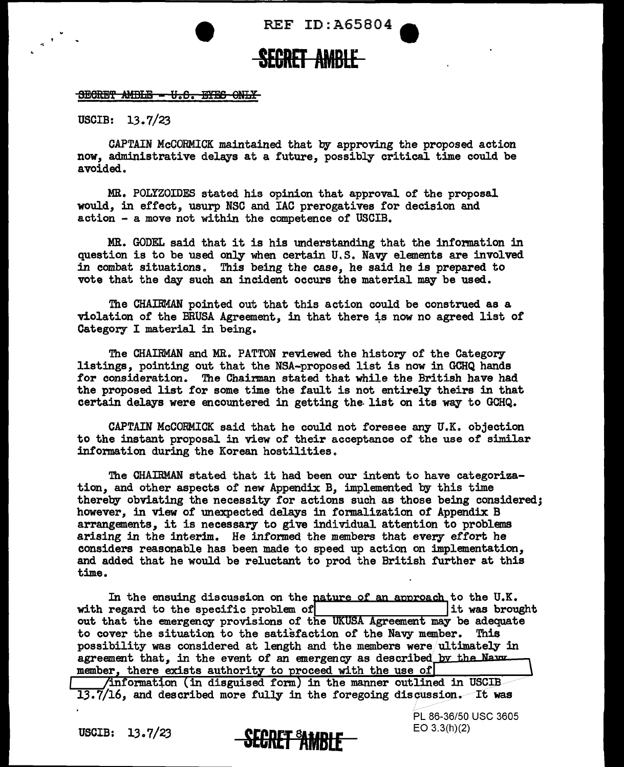• REF ID:A65804 **e** 

## **SEGRET AMBLE**

## BEGRET AMBLE - U.S. EYES ONLY

USCIB: 13.7/23

CAPTAIN McCORMICK maintained that by approving the proposed action now, administrative delays at a future, possibly critical time could be avoided.

MR. POLYZOIDES stated his opinion that approval of the proposal would, in effect, usurp NSC and IAC prerogatives for decision and  $action - a move not within the connectence of  $USCIB$ .$ 

MR. GODEL said that it is his understanding that the information in question is to be used only when certain U.S. Navy elements are involved in combat situations. This being the case, he said he is prepared to vote that the day such an incident occurs the material may be used.

The CHAIRMAN pointed out that this action could be construed as a violation of the BRUSA Agreement, in that there is now no agreed list of Category I material in being.

The CHAIRMAN and MR. PATTON reviewed the history of the Category listings, pointing out that the NSA-proposed list is now in GCHQ hands for consideration. The Chairman stated that while the British have had the proposed list for some time the fault is not entirely theirs in that certain delays were encountered in getting the. list on its way to GCHQ.

CAPTAIN McCORMICK said that he could not foresee any U.K. objection to the instant proposal in view of their acceptance of the use of similar information during the Korean hostilities.

The CHAIRMAN stated that it had been our intent to have categorization, and other aspects of new Appendix B, implemented by this time thereby obviating the necessity for actions such as those being considered; however, in view of unexpected delays in formalization of Appendix B arrangements, it is necessary to give individual attention to problems arising in the interim. He informed the members that every effort he considers reasonable has been made to speed up action on implementation, and added that he would be reluctant to prod the British further at this time.

with regard to the specific problem of **lit was brought** In the ensuing discussion on the nature of an approach to the U.K. out that the emergency provisions of the UKUSA Agreement may be adequate to cover the situation to the satisfaction of the Navy member. This possibility was considered at length and the members were/ultimately in agreement that, in the event of an emergency as described by the Navy member, there exists authority to proceed with the use of

 $\sqrt{\text{information (in discussed form) in the manner outlined in USCIB}}$  $13.7/16$ , and described more fully in the foregoing discussion. It was



PL 86-36/50 USC 3605 EO 3.3(h)(2)